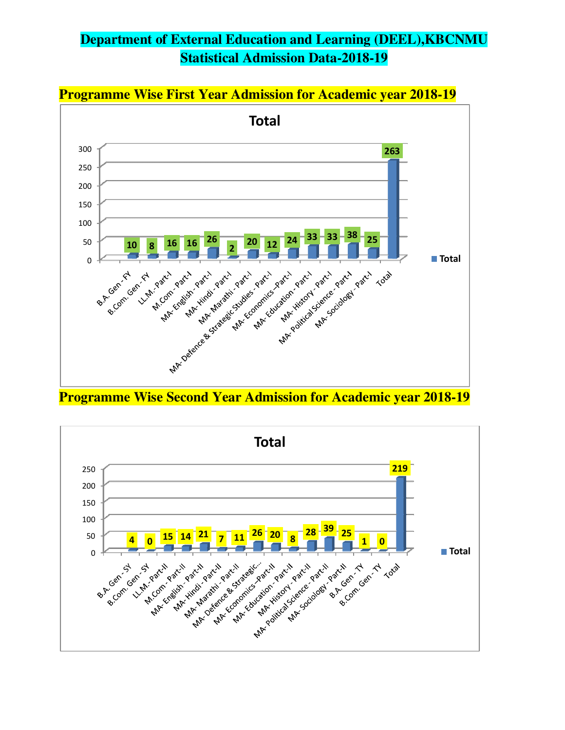# **Department of External Education and Learning (DEEL),KBCNMU Statistical Admission Data-2018-19**



**Programme Wise Second Year Admission for Academic year 2018-19** 

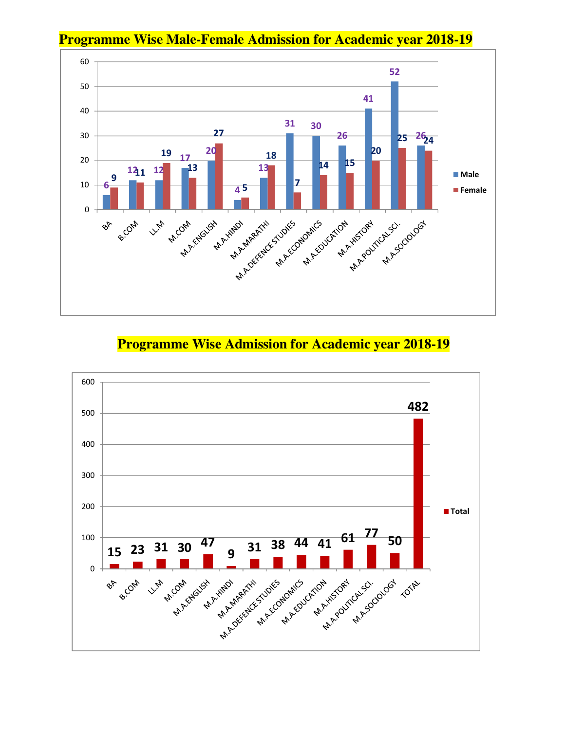

#### **Programme Wise Male-Female Admission for Academic year 2018-19**

#### **Programme Wise Admission for Academic year 2018-19**

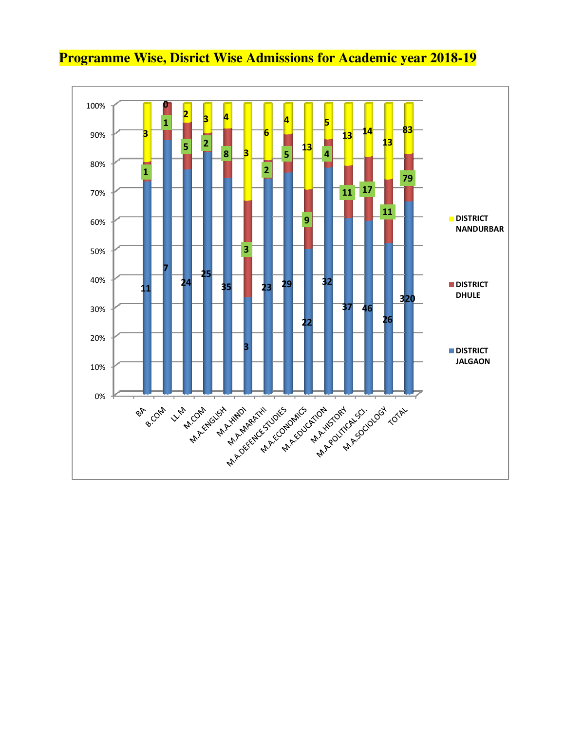

## **Programme Wise, Disrict Wise Admissions for Academic year 2018-19**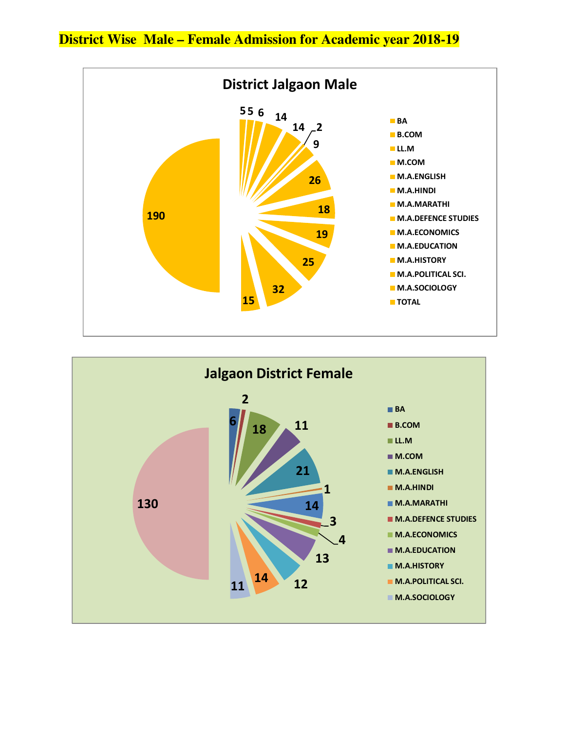**District Wise Male – Female Admission for Academic year 2018-19** 



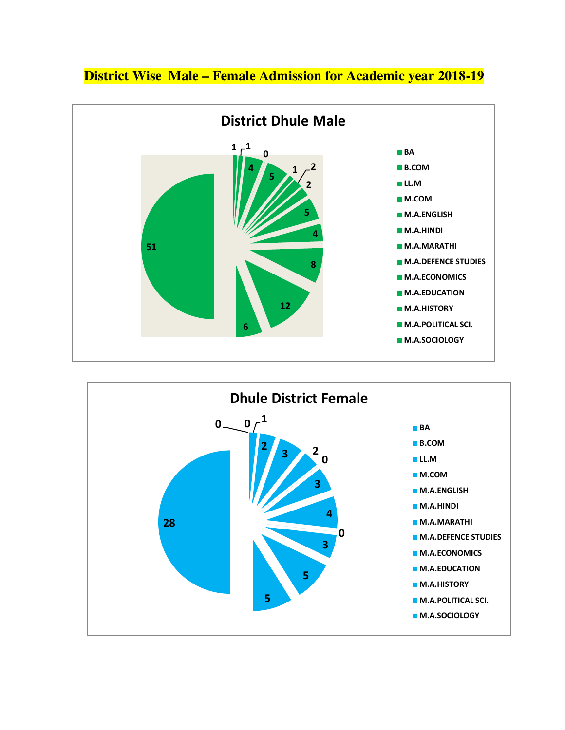#### **District Wise Male – Female Admission for Academic year 2018-19**



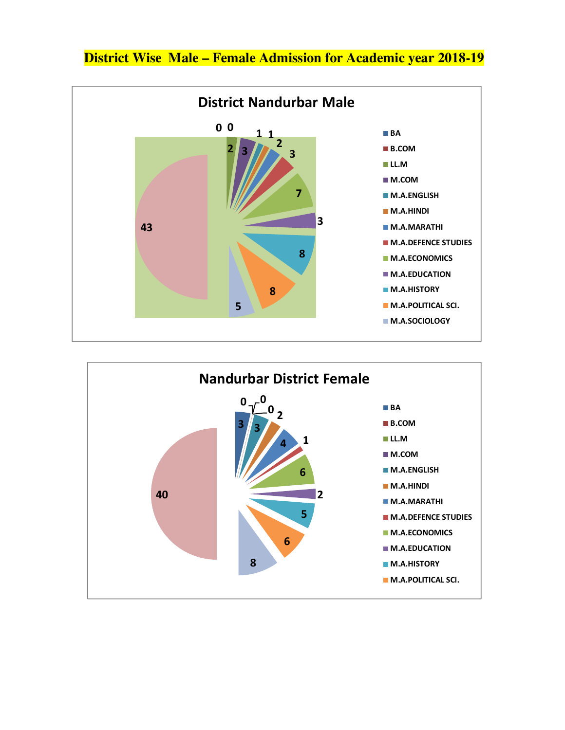



## **District Wise Male – Female Admission for Academic year 2018-19**